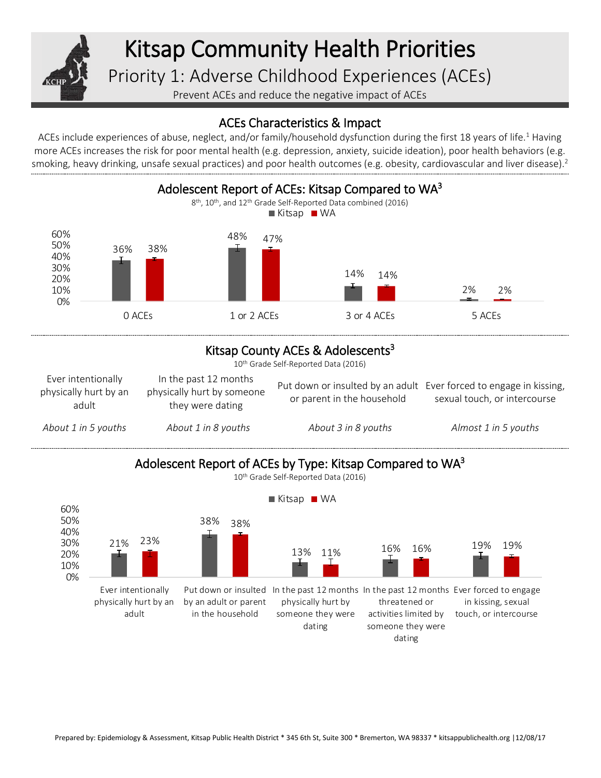

## Kitsap Community Health Priorities

Priority 1: Adverse Childhood Experiences (ACEs)

Prevent ACEs and reduce the negative impact of ACEs

## ACEs Characteristics & Impact

ACEs include experiences of abuse, neglect, and/or family/household dysfunction during the first 18 years of life.<sup>1</sup> Having more ACEs increases the risk for poor mental health (e.g. depression, anxiety, suicide ideation), poor health behaviors (e.g. smoking, heavy drinking, unsafe sexual practices) and poor health outcomes (e.g. obesity, cardiovascular and liver disease).<sup>2</sup>



## Kitsap County ACEs & Adolescents<sup>3</sup>

10<sup>th</sup> Grade Self-Reported Data (2016)

| Ever intentionally<br>physically hurt by an<br>adult | In the past 12 months<br>physically hurt by someone<br>they were dating | Put down or insulted by an adult Ever forced to engage in kissing,<br>or parent in the household | sexual touch, or intercourse |
|------------------------------------------------------|-------------------------------------------------------------------------|--------------------------------------------------------------------------------------------------|------------------------------|
| About 1 in 5 youths                                  | About 1 in 8 youths                                                     | About 3 in 8 youths                                                                              | Almost 1 in 5 youths         |



Prepared by: Epidemiology & Assessment, Kitsap Public Health District \* 345 6th St, Suite 300 \* Bremerton, WA 98337 \* kitsappublichealth.org |12/08/17